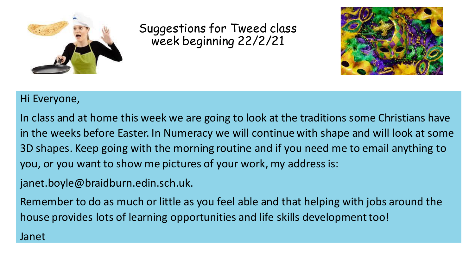

Suggestions for Tweed class week beginning 22/2/21



### Hi Everyone,

In class and at home this week we are going to look at the traditions some Christians have in the weeks before Easter. In Numeracy we will continue with shape and will look at some 3D shapes. Keep going with the morning routine and if you need me to email anything to you, or you want to show me pictures of your work, my address is:

janet.boyle@braidburn.edin.sch.uk.

Remember to do as much or little as you feel able and that helping with jobs around the house provides lots of learning opportunities and life skills development too!

### Janet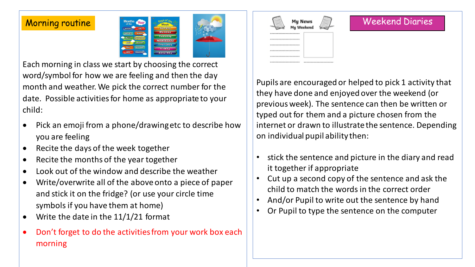### Morning routine



Each morning in class we start by choosing the correct word/symbol for how we are feeling and then the day month and weather. We pick the correct number for the date. Possible activities for home as appropriate to your child:

- Pick an emoji from a phone/drawing etc to describe how you are feeling
- Recite the days of the week together
- Recite the months of the year together
- Look out of the window and describe the weather
- Write/overwrite all of the above onto a piece of paper and stick it on the fridge? (or use your circle time symbols if you have them at home)
- Write the date in the  $11/1/21$  format
- Don't forget to do the activities from your work box each morning

| My News<br>My Weekend |  |
|-----------------------|--|
|                       |  |
|                       |  |
| -----------           |  |
|                       |  |
|                       |  |
| -----------           |  |

### Weekend Diaries

Pupils are encouraged or helped to pick 1 activity that they have done and enjoyed over the weekend (or previous week). The sentence can then be written or typed out for them and a picture chosen from the internet or drawn to illustrate the sentence. Depending on individual pupil ability then:

- stick the sentence and picture in the diary and read it together if appropriate
- Cut up a second copy of the sentence and ask the child to match the words in the correct order
- And/or Pupil to write out the sentence by hand
- Or Pupil to type the sentence on the computer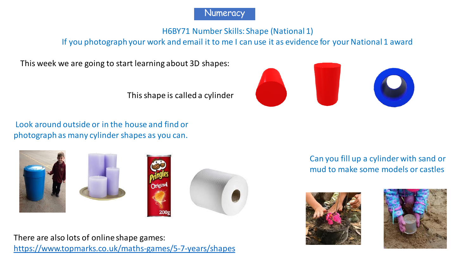

H6BY71 Number Skills: Shape (National 1)

If you photograph your work and email it to me I can use it as evidence for your National 1 award

This week we are going to start learning about 3D shapes:

This shape is called a cylinder

### Look around outside or in the house and find or photograph as many cylinder shapes as you can.







There are also lots of online shape games: <https://www.topmarks.co.uk/maths-games/5-7-years/shapes> Can you fill up a cylinder with sand or mud to make some models or castles



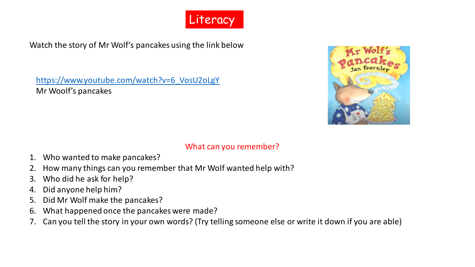

Watch the story of Mr Wolf's pancakes using the link below

[https://www.youtube.com/watch?v=6\\_VosU2oLgY](https://www.youtube.com/watch?v=6_VosU2oLgY) Mr Woolf's pancakes



### What can you remember?

- 1. Who wanted to make pancakes?
- 2. How many things can you remember that Mr Wolf wanted help with?
- 3. Who did he ask for help?
- 4. Did anyone help him?
- 5. Did Mr Wolf make the pancakes?
- 6. What happened once the pancakes were made?
- 7. Can you tell the story in your own words? (Try telling someone else or write it down if you are able)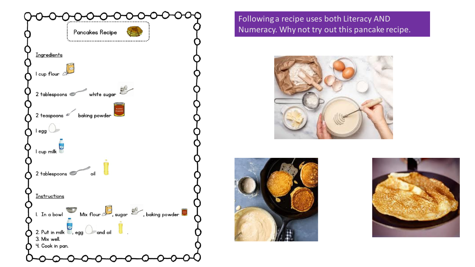

Following a recipe uses both Literacy AND Numeracy. Why not try out this pancake recipe.





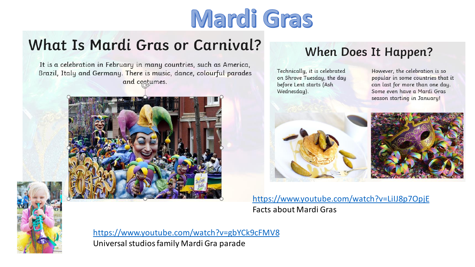# Mardi Gras

# What Is Mardi Gras or Carnival?

It is a celebration in February in many countries, such as America, Brazil, Italy and Germany. There is music, dance, colourful parades and costumes.





<https://www.youtube.com/watch?v=gbYCk9cFMV8> Universal studios family Mardi Gra parade

## When Does It Happen?

Technically, it is celebrated on Shrove Tuesday, the day before Lent starts (Ash Wednesday).

However, the celebration is so popular in some countries that it can last for more than one day. Some even have a Mardi Gras season starting in January!





<https://www.youtube.com/watch?v=LiIJ8p7OpjE> Facts about Mardi Gras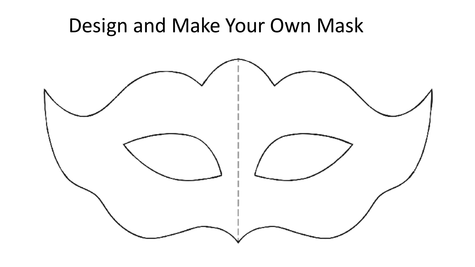# Design and Make Your Own Mask